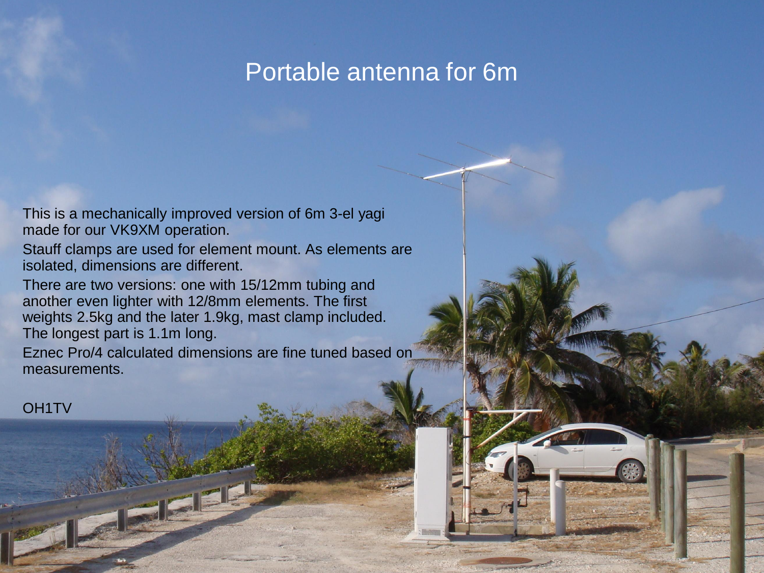### Portable antenna for 6m

15.1.2015 OH1TV 1.2015 OH1TV 1.2015 OH1TV 1.2015 OH1TV 1.2015 OH1TV 1.2015 OH1TV 1.2015 OH1TV 1.2015 OH1TV 1.2015

This is a mechanically improved version of 6m 3-el yagi made for our VK9XM operation.

Stauff clamps are used for element mount. As elements are isolated, dimensions are different.

There are two versions: one with 15/12mm tubing and another even lighter with 12/8mm elements. The first weights 2.5kg and the later 1.9kg, mast clamp included. The longest part is 1.1m long.

Eznec Pro/4 calculated dimensions are fine tuned based on measurements.

OH1TV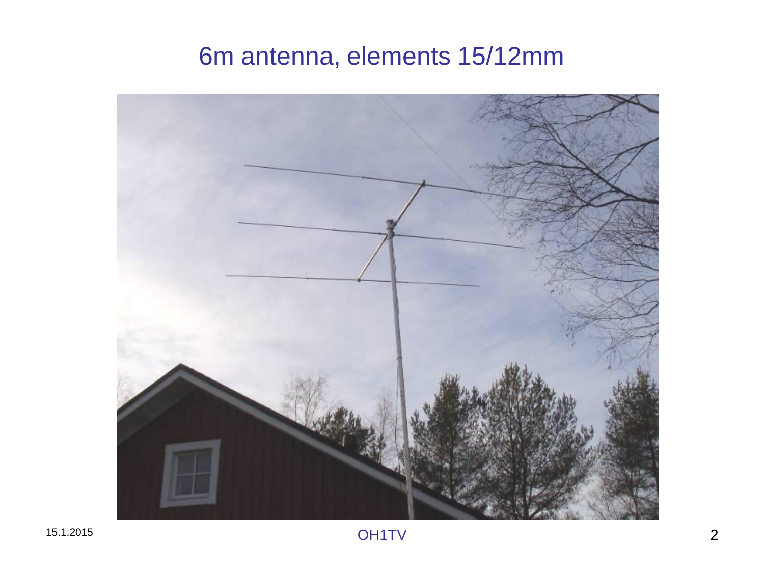# 6m antenna, elements 15/12mm

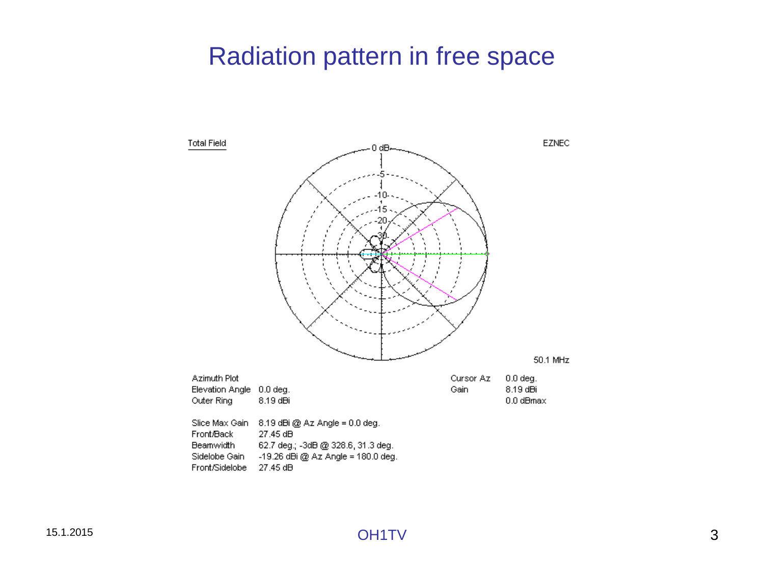## Radiation pattern in free space

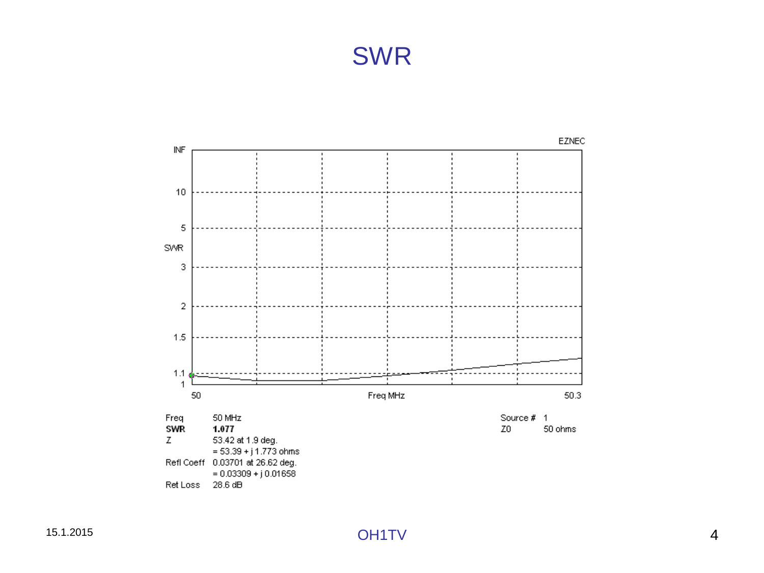## SWR



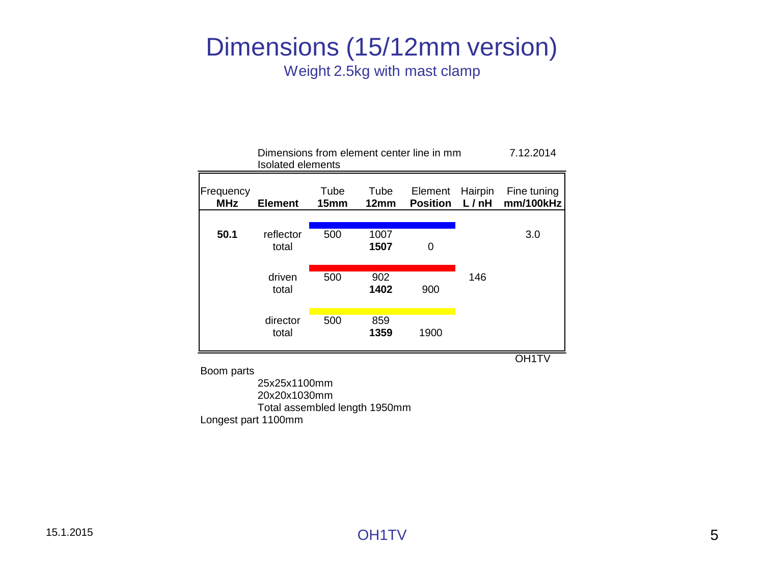#### Dimensions (15/12mm version) Weight 2.5kg with mast clamp

Dimensions from element center line in mm 7.12.2014

| <b>Isolated elements</b> |                    |              |                          |                            |                 |                          |
|--------------------------|--------------------|--------------|--------------------------|----------------------------|-----------------|--------------------------|
| Frequency<br><b>MHz</b>  | <b>Element</b>     | Tube<br>15mm | Tube<br>12 <sub>mm</sub> | Element<br><b>Position</b> | Hairpin<br>L/nh | Fine tuning<br>mm/100kHz |
|                          |                    |              |                          |                            |                 |                          |
| 50.1                     | reflector<br>total | 500          | 1007<br>1507             | 0                          |                 | 3.0                      |
|                          | driven<br>total    | 500          | 902<br>1402              | 900                        | 146             |                          |
|                          | director<br>total  | 500          | 859<br>1359              | 1900                       |                 |                          |
|                          |                    |              |                          |                            |                 |                          |

Boom parts

25x25x1100mm 20x20x1030mm Total assembled length 1950mm Longest part 1100mm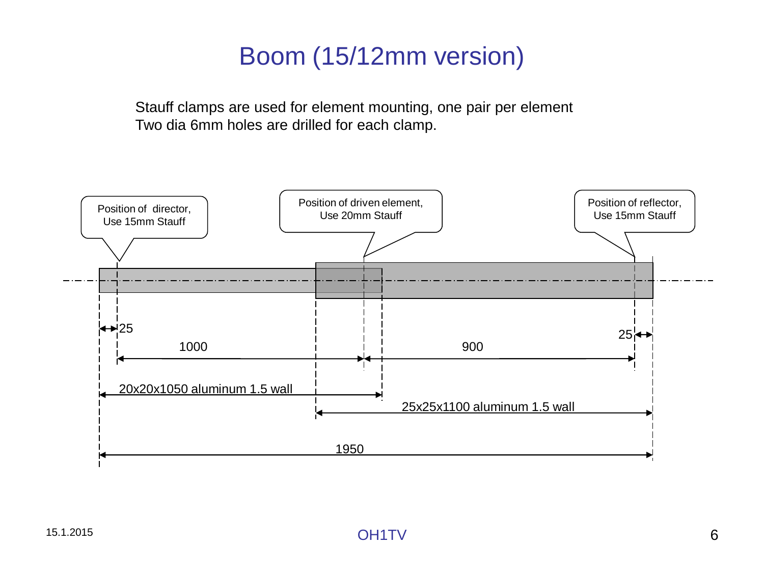# Boom (15/12mm version)

Stauff clamps are used for element mounting, one pair per element Two dia 6mm holes are drilled for each clamp.

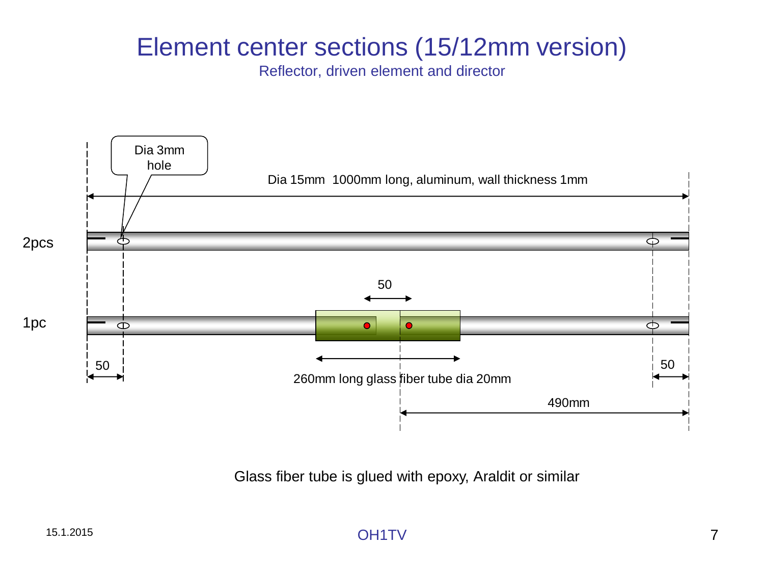## Element center sections (15/12mm version)

Reflector, driven element and director



Glass fiber tube is glued with epoxy, Araldit or similar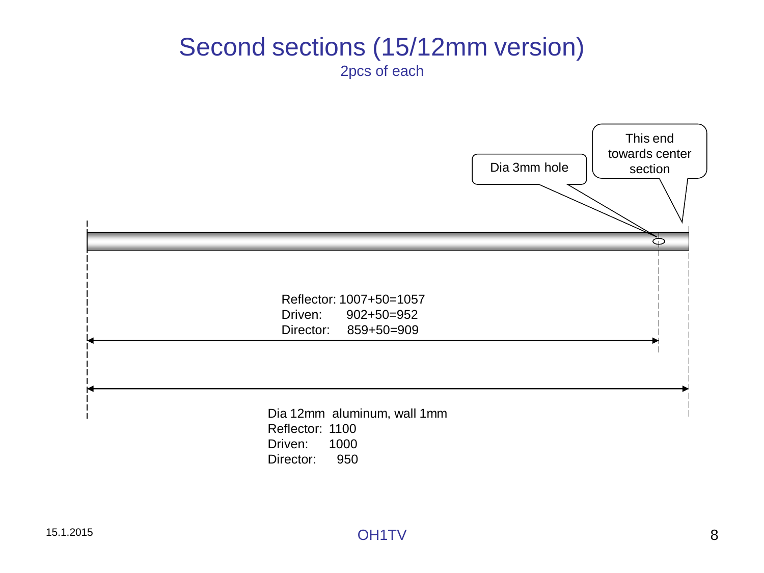#### Second sections (15/12mm version) 2pcs of each

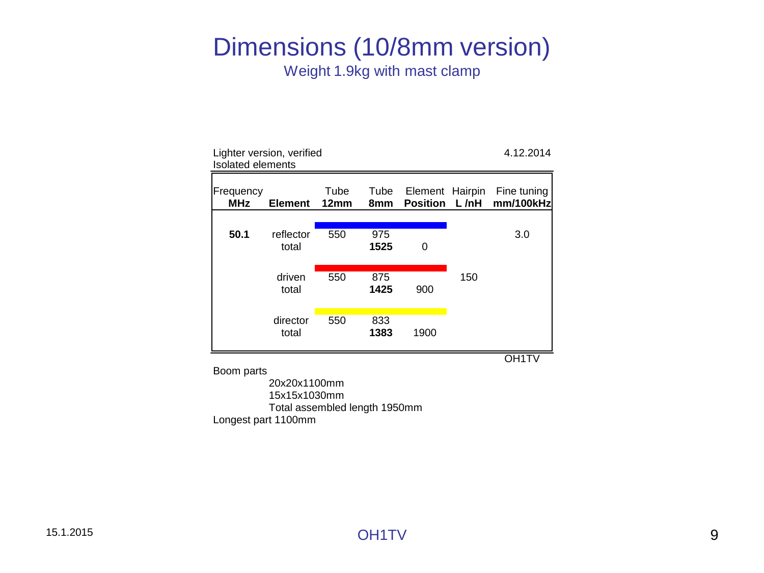#### Dimensions (10/8mm version) Weight 1.9kg with mast clamp

Lighter version, verified 4.12.2014 Isolated elements Frequency Tube Tube Element Hairpin Fine tuning **MHz Element 12mm 8mm Position L /nH mm/100kHz 50.1** reflector 550 975 3.0 total **1525** 0 driven 550 875 150 total **1425** 900 director 550 833 total **1383** 1900 OH1TV

Boom parts

20x20x1100mm 15x15x1030mm Total assembled length 1950mm Longest part 1100mm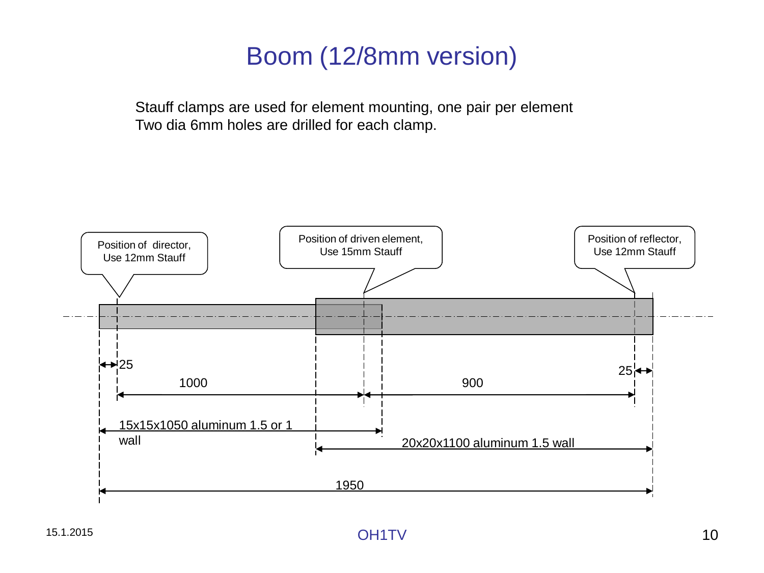# Boom (12/8mm version)

Stauff clamps are used for element mounting, one pair per element Two dia 6mm holes are drilled for each clamp.

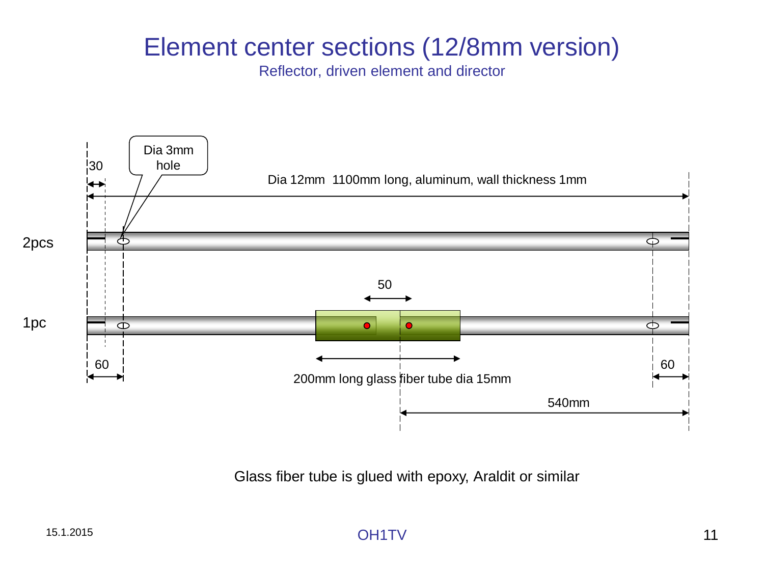## Element center sections (12/8mm version)

Reflector, driven element and director



Glass fiber tube is glued with epoxy, Araldit or similar

15.1.2015 OH1TV 11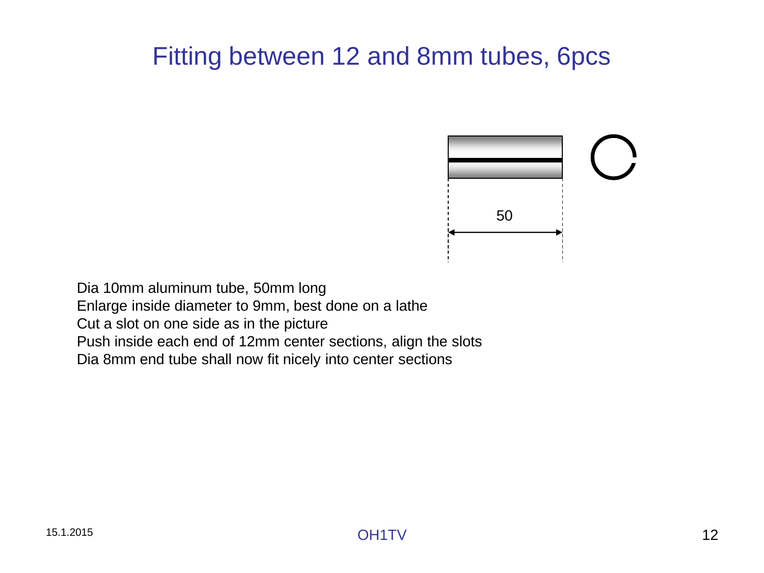# Fitting between 12 and 8mm tubes, 6pcs



Dia 10mm aluminum tube, 50mm long Enlarge inside diameter to 9mm, best done on a lathe Cut a slot on one side as in the picture Push inside each end of 12mm center sections, align the slots Dia 8mm end tube shall now fit nicely into center sections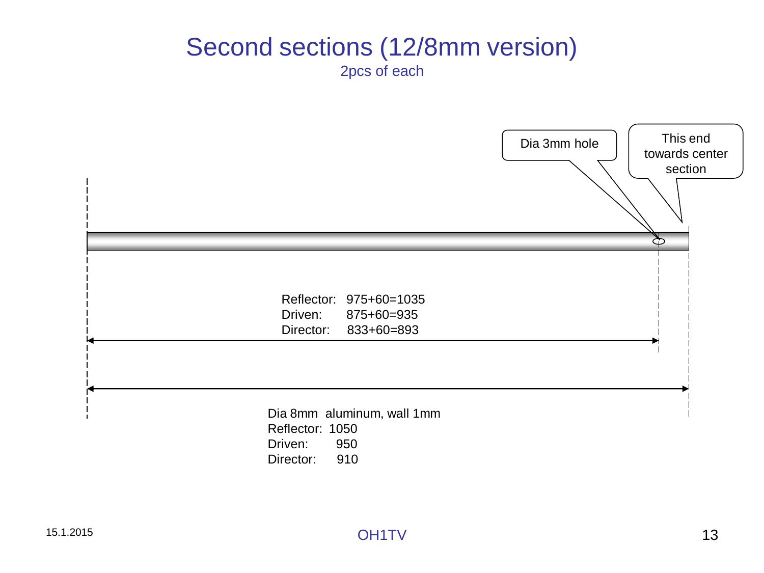#### Second sections (12/8mm version) 2pcs of each

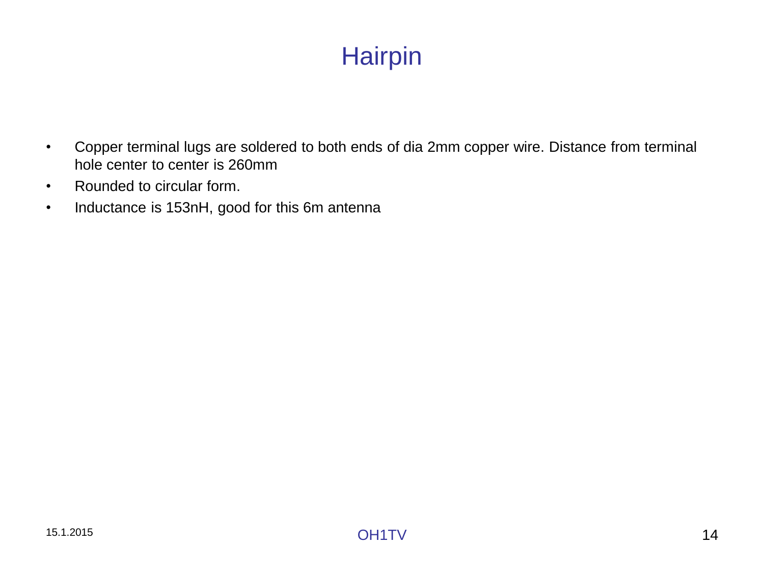# **Hairpin**

- Copper terminal lugs are soldered to both ends of dia 2mm copper wire. Distance from terminal hole center to center is 260mm
- Rounded to circular form.
- Inductance is 153nH, good for this 6m antenna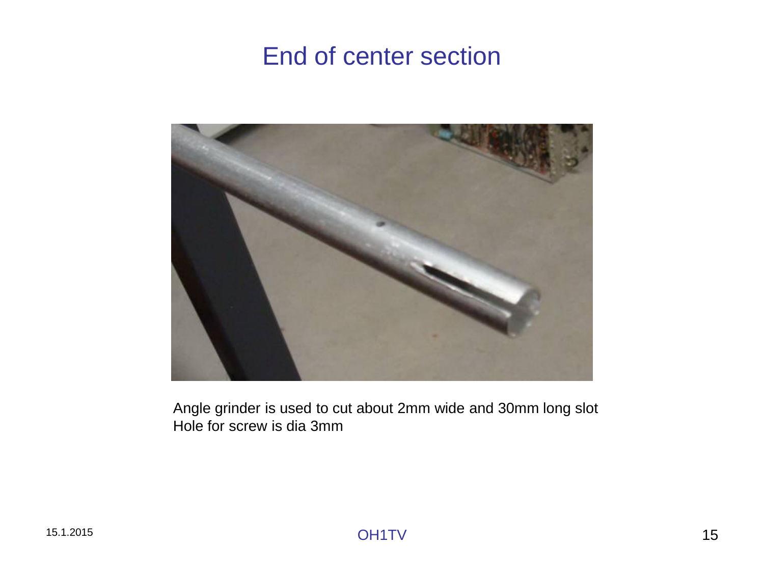## End of center section



Angle grinder is used to cut about 2mm wide and 30mm long slot Hole for screw is dia 3mm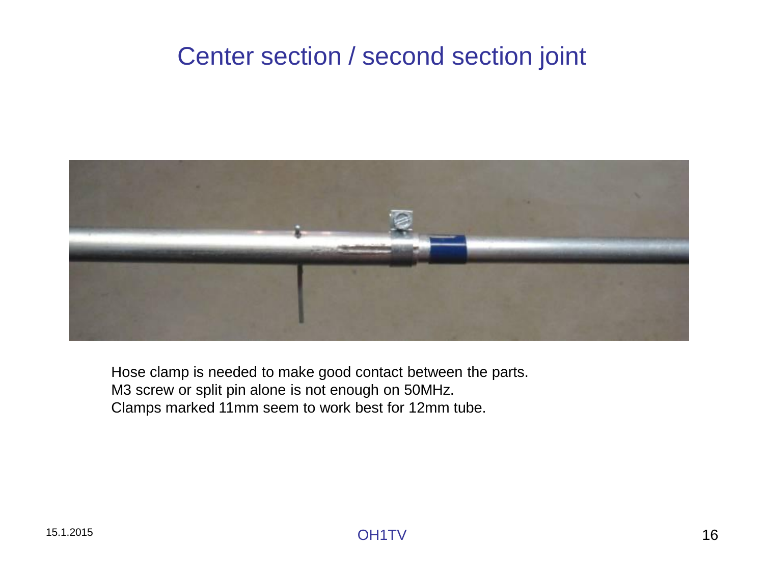# Center section / second section joint



Hose clamp is needed to make good contact between the parts. M3 screw or split pin alone is not enough on 50MHz. Clamps marked 11mm seem to work best for 12mm tube.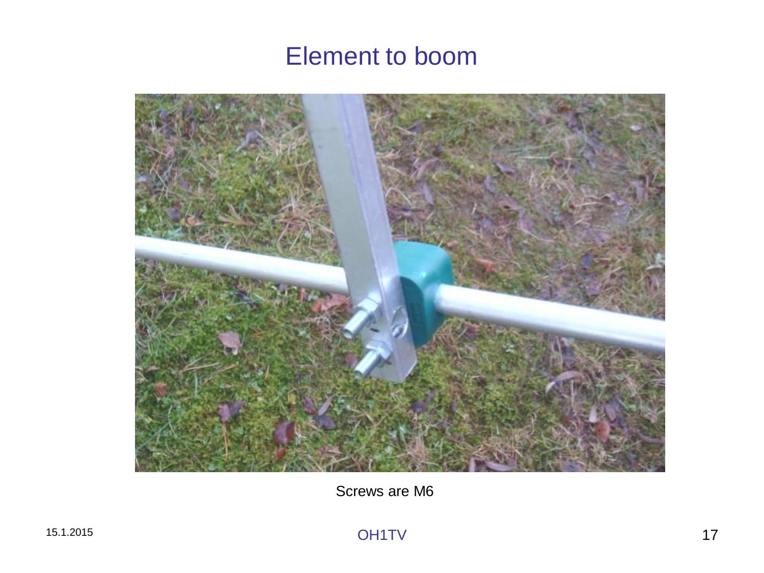### Element to boom



Screws are M6